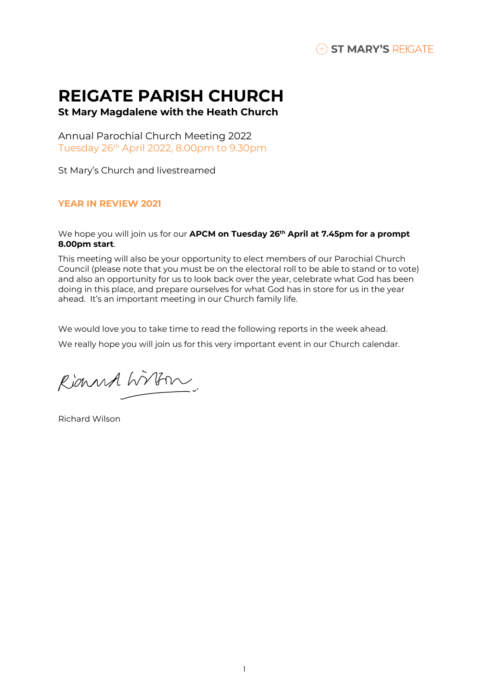

# **REIGATE PARISH CHURCH**

**St Mary Magdalene with the Heath Church**

Annual Parochial Church Meeting 2022 Tuesday 26 th April 2022, 8.00pm to 9.30pm

St Mary's Church and livestreamed

# **YEAR IN REVIEW 2021**

We hope you will join us for our **APCM on Tuesday 26 th April at 7.45pm for a prompt 8.00pm start**.

This meeting will also be your opportunity to elect members of our Parochial Church Council (please note that you must be on the electoral roll to be able to stand or to vote) and also an opportunity for us to look back over the year, celebrate what God has been doing in this place, and prepare ourselves for what God has in store for us in the year ahead. It's an important meeting in our Church family life.

We would love you to take time to read the following reports in the week ahead.

We really hope you will join us for this very important event in our Church calendar.

Rianna Wirkm.

Richard Wilson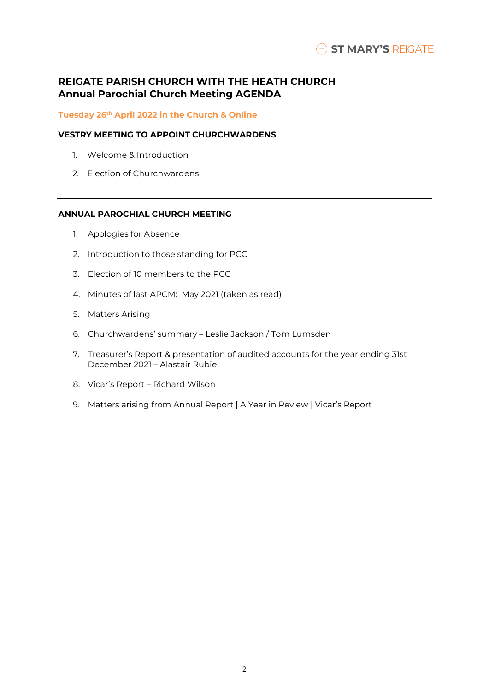# **REIGATE PARISH CHURCH WITH THE HEATH CHURCH Annual Parochial Church Meeting AGENDA**

## **Tuesday 26 th April 2022 in the Church & Online**

# **VESTRY MEETING TO APPOINT CHURCHWARDENS**

- 1. Welcome & Introduction
- 2. Election of Churchwardens

# **ANNUAL PAROCHIAL CHURCH MEETING**

- 1. Apologies for Absence
- 2. Introduction to those standing for PCC
- 3. Election of 10 members to the PCC
- 4. Minutes of last APCM: May 2021 (taken as read)
- 5. Matters Arising
- 6. Churchwardens' summary Leslie Jackson / Tom Lumsden
- 7. Treasurer's Report & presentation of audited accounts for the year ending 31st December 2021 – Alastair Rubie
- 8. Vicar's Report Richard Wilson
- 9. Matters arising from Annual Report | A Year in Review | Vicar's Report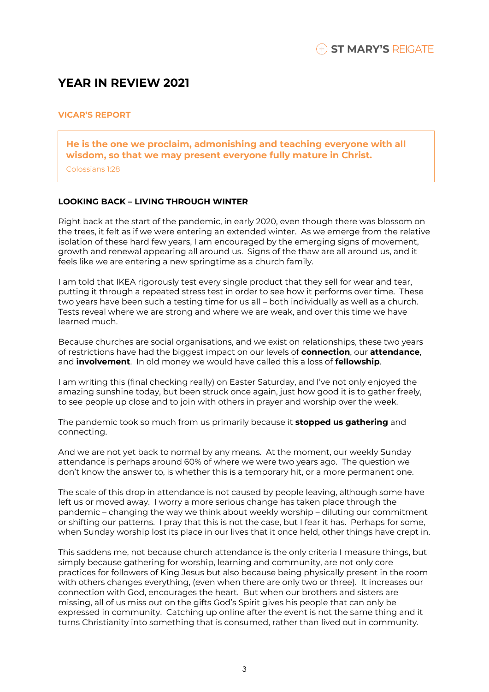# **YEAR IN REVIEW 2021**

# **VICAR'S REPORT**

**He is the one we proclaim, admonishing and teaching everyone with all wisdom, so that we may present everyone fully mature in Christ.** 

Colossians 1:28

# **LOOKING BACK – LIVING THROUGH WINTER**

Right back at the start of the pandemic, in early 2020, even though there was blossom on the trees, it felt as if we were entering an extended winter. As we emerge from the relative isolation of these hard few years, I am encouraged by the emerging signs of movement, growth and renewal appearing all around us. Signs of the thaw are all around us, and it feels like we are entering a new springtime as a church family.

I am told that IKEA rigorously test every single product that they sell for wear and tear, putting it through a repeated stress test in order to see how it performs over time. These two years have been such a testing time for us all – both individually as well as a church. Tests reveal where we are strong and where we are weak, and over this time we have learned much.

Because churches are social organisations, and we exist on relationships, these two years of restrictions have had the biggest impact on our levels of **connection**, our **attendance**, and **involvement**. In old money we would have called this a loss of **fellowship**.

I am writing this (final checking really) on Easter Saturday, and I've not only enjoyed the amazing sunshine today, but been struck once again, just how good it is to gather freely, to see people up close and to join with others in prayer and worship over the week.

The pandemic took so much from us primarily because it **stopped us gathering** and connecting.

And we are not yet back to normal by any means. At the moment, our weekly Sunday attendance is perhaps around 60% of where we were two years ago. The question we don't know the answer to, is whether this is a temporary hit, or a more permanent one.

The scale of this drop in attendance is not caused by people leaving, although some have left us or moved away. I worry a more serious change has taken place through the pandemic – changing the way we think about weekly worship – diluting our commitment or shifting our patterns. I pray that this is not the case, but I fear it has. Perhaps for some, when Sunday worship lost its place in our lives that it once held, other things have crept in.

This saddens me, not because church attendance is the only criteria I measure things, but simply because gathering for worship, learning and community, are not only core practices for followers of King Jesus but also because being physically present in the room with others changes everything, (even when there are only two or three). It increases our connection with God, encourages the heart. But when our brothers and sisters are missing, all of us miss out on the gifts God's Spirit gives his people that can only be expressed in community. Catching up online after the event is not the same thing and it turns Christianity into something that is consumed, rather than lived out in community.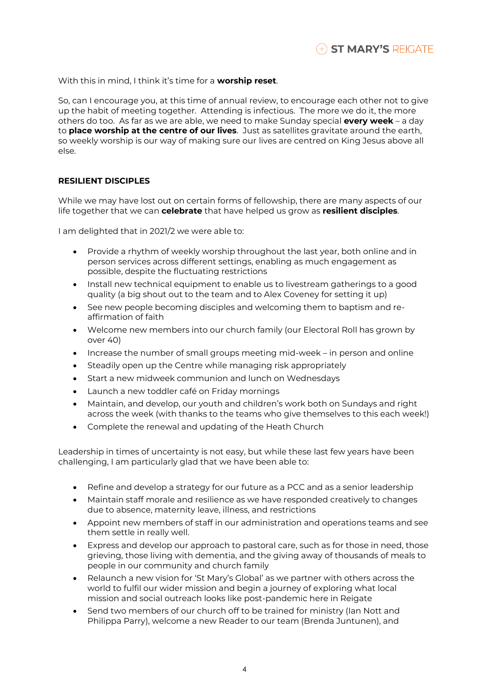With this in mind, I think it's time for a **worship reset**.

So, can I encourage you, at this time of annual review, to encourage each other not to give up the habit of meeting together. Attending is infectious. The more we do it, the more others do too. As far as we are able, we need to make Sunday special **every week** – a day to **place worship at the centre of our lives**. Just as satellites gravitate around the earth, so weekly worship is our way of making sure our lives are centred on King Jesus above all else.

# **RESILIENT DISCIPLES**

While we may have lost out on certain forms of fellowship, there are many aspects of our life together that we can **celebrate** that have helped us grow as **resilient disciples**.

I am delighted that in 2021/2 we were able to:

- Provide a rhythm of weekly worship throughout the last year, both online and in person services across different settings, enabling as much engagement as possible, despite the fluctuating restrictions
- Install new technical equipment to enable us to livestream gatherings to a good quality (a big shout out to the team and to Alex Coveney for setting it up)
- See new people becoming disciples and welcoming them to baptism and reaffirmation of faith
- Welcome new members into our church family (our Electoral Roll has grown by over 40)
- Increase the number of small groups meeting mid-week in person and online
- Steadily open up the Centre while managing risk appropriately
- Start a new midweek communion and lunch on Wednesdays
- Launch a new toddler café on Friday mornings
- Maintain, and develop, our youth and children's work both on Sundays and right across the week (with thanks to the teams who give themselves to this each week!)
- Complete the renewal and updating of the Heath Church

Leadership in times of uncertainty is not easy, but while these last few years have been challenging, I am particularly glad that we have been able to:

- Refine and develop a strategy for our future as a PCC and as a senior leadership
- Maintain staff morale and resilience as we have responded creatively to changes due to absence, maternity leave, illness, and restrictions
- Appoint new members of staff in our administration and operations teams and see them settle in really well.
- Express and develop our approach to pastoral care, such as for those in need, those grieving, those living with dementia, and the giving away of thousands of meals to people in our community and church family
- Relaunch a new vision for 'St Mary's Global' as we partner with others across the world to fulfil our wider mission and begin a journey of exploring what local mission and social outreach looks like post-pandemic here in Reigate
- Send two members of our church off to be trained for ministry (Ian Nott and Philippa Parry), welcome a new Reader to our team (Brenda Juntunen), and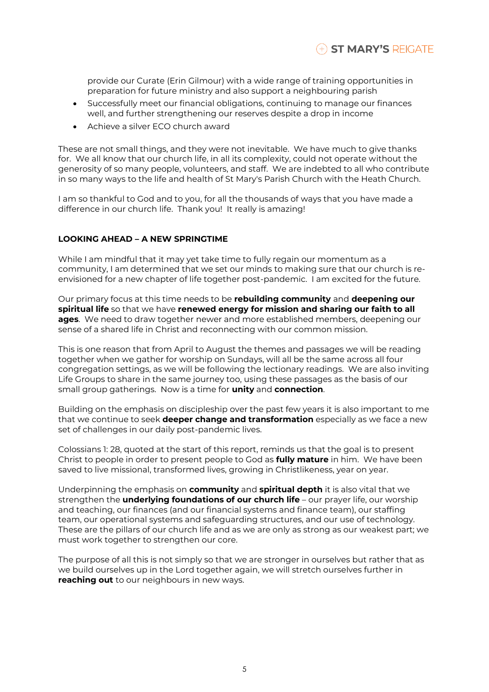provide our Curate (Erin Gilmour) with a wide range of training opportunities in preparation for future ministry and also support a neighbouring parish

- Successfully meet our financial obligations, continuing to manage our finances well, and further strengthening our reserves despite a drop in income
- Achieve a silver ECO church award

These are not small things, and they were not inevitable. We have much to give thanks for. We all know that our church life, in all its complexity, could not operate without the generosity of so many people, volunteers, and staff. We are indebted to all who contribute in so many ways to the life and health of St Mary's Parish Church with the Heath Church.

I am so thankful to God and to you, for all the thousands of ways that you have made a difference in our church life. Thank you! It really is amazing!

## **LOOKING AHEAD – A NEW SPRINGTIME**

While I am mindful that it may yet take time to fully regain our momentum as a community, I am determined that we set our minds to making sure that our church is reenvisioned for a new chapter of life together post-pandemic. I am excited for the future.

Our primary focus at this time needs to be **rebuilding community** and **deepening our spiritual life** so that we have **renewed energy for mission and sharing our faith to all ages**. We need to draw together newer and more established members, deepening our sense of a shared life in Christ and reconnecting with our common mission.

This is one reason that from April to August the themes and passages we will be reading together when we gather for worship on Sundays, will all be the same across all four congregation settings, as we will be following the lectionary readings. We are also inviting Life Groups to share in the same journey too, using these passages as the basis of our small group gatherings. Now is a time for **unity** and **connection**.

Building on the emphasis on discipleship over the past few years it is also important to me that we continue to seek **deeper change and transformation** especially as we face a new set of challenges in our daily post-pandemic lives.

Colossians 1: 28, quoted at the start of this report, reminds us that the goal is to present Christ to people in order to present people to God as **fully mature** in him. We have been saved to live missional, transformed lives, growing in Christlikeness, year on year.

Underpinning the emphasis on **community** and **spiritual depth** it is also vital that we strengthen the **underlying foundations of our church life** – our prayer life, our worship and teaching, our finances (and our financial systems and finance team), our staffing team, our operational systems and safeguarding structures, and our use of technology. These are the pillars of our church life and as we are only as strong as our weakest part; we must work together to strengthen our core.

The purpose of all this is not simply so that we are stronger in ourselves but rather that as we build ourselves up in the Lord together again, we will stretch ourselves further in **reaching out** to our neighbours in new ways.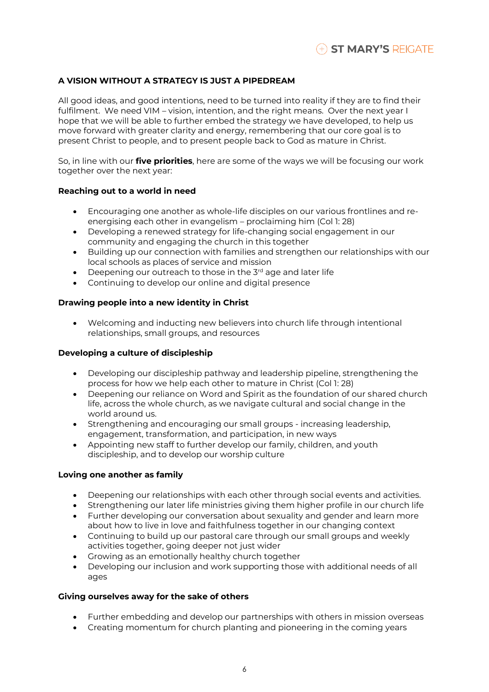# **A VISION WITHOUT A STRATEGY IS JUST A PIPEDREAM**

All good ideas, and good intentions, need to be turned into reality if they are to find their fulfilment. We need VIM – vision, intention, and the right means. Over the next year I hope that we will be able to further embed the strategy we have developed, to help us move forward with greater clarity and energy, remembering that our core goal is to present Christ to people, and to present people back to God as mature in Christ.

So, in line with our **five priorities**, here are some of the ways we will be focusing our work together over the next year:

## **Reaching out to a world in need**

- Encouraging one another as whole-life disciples on our various frontlines and reenergising each other in evangelism – proclaiming him (Col 1: 28)
- Developing a renewed strategy for life-changing social engagement in our community and engaging the church in this together
- Building up our connection with families and strengthen our relationships with our local schools as places of service and mission
- Deepening our outreach to those in the 3<sup>rd</sup> age and later life
- Continuing to develop our online and digital presence

# **Drawing people into a new identity in Christ**

• Welcoming and inducting new believers into church life through intentional relationships, small groups, and resources

## **Developing a culture of discipleship**

- Developing our discipleship pathway and leadership pipeline, strengthening the process for how we help each other to mature in Christ (Col 1: 28)
- Deepening our reliance on Word and Spirit as the foundation of our shared church life, across the whole church, as we navigate cultural and social change in the world around us.
- Strengthening and encouraging our small groups increasing leadership, engagement, transformation, and participation, in new ways
- Appointing new staff to further develop our family, children, and youth discipleship, and to develop our worship culture

## **Loving one another as family**

- Deepening our relationships with each other through social events and activities.
- Strengthening our later life ministries giving them higher profile in our church life
- Further developing our conversation about sexuality and gender and learn more about how to live in love and faithfulness together in our changing context
- Continuing to build up our pastoral care through our small groups and weekly activities together, going deeper not just wider
- Growing as an emotionally healthy church together
- Developing our inclusion and work supporting those with additional needs of all ages

## **Giving ourselves away for the sake of others**

- Further embedding and develop our partnerships with others in mission overseas
- Creating momentum for church planting and pioneering in the coming years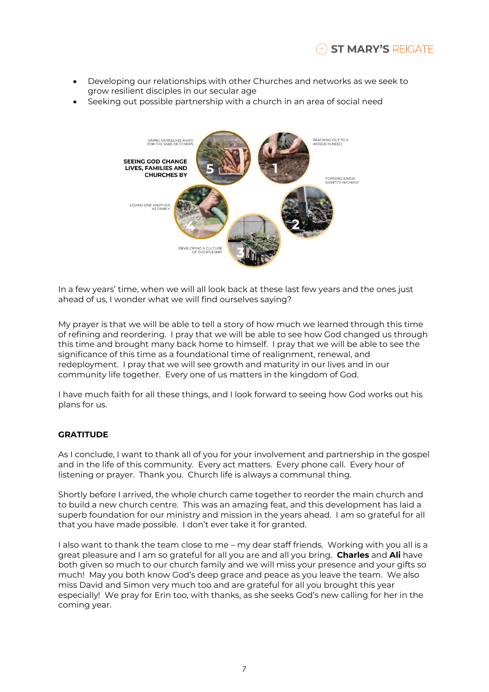- Developing our relationships with other Churches and networks as we seek to grow resilient disciples in our secular age
- Seeking out possible partnership with a church in an area of social need



In a few years' time, when we will all look back at these last few years and the ones just ahead of us, I wonder what we will find ourselves saying?

My prayer is that we will be able to tell a story of how much we learned through this time of refining and reordering. I pray that we will be able to see how God changed us through this time and brought many back home to himself. I pray that we will be able to see the significance of this time as a foundational time of realignment, renewal, and redeployment. I pray that we will see growth and maturity in our lives and in our community life together. Every one of us matters in the kingdom of God.

I have much faith for all these things, and I look forward to seeing how God works out his plans for us.

# **GRATITUDE**

As I conclude, I want to thank all of you for your involvement and partnership in the gospel and in the life of this community. Every act matters. Every phone call. Every hour of listening or prayer. Thank you. Church life is always a communal thing.

Shortly before I arrived, the whole church came together to reorder the main church and to build a new church centre. This was an amazing feat, and this development has laid a superb foundation for our ministry and mission in the years ahead. I am so grateful for all that you have made possible. I don't ever take it for granted.

I also want to thank the team close to me – my dear staff friends. Working with you all is a great pleasure and I am so grateful for all you are and all you bring. **Charles** and **Ali** have both given so much to our church family and we will miss your presence and your gifts so much! May you both know God's deep grace and peace as you leave the team. We also miss David and Simon very much too and are grateful for all you brought this year especially! We pray for Erin too, with thanks, as she seeks God's new calling for her in the coming year.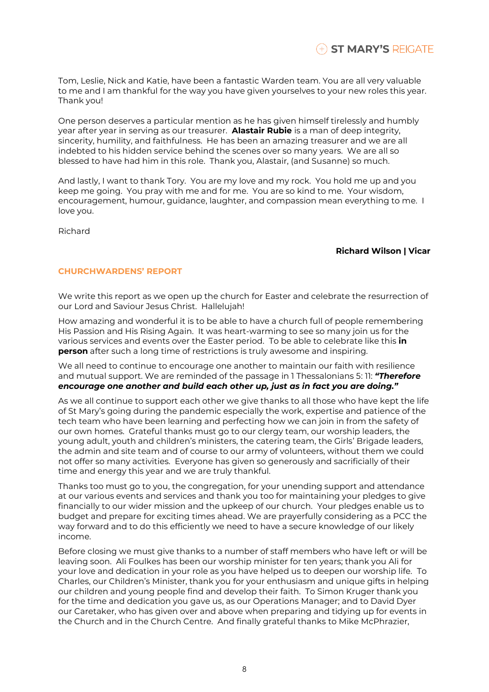Tom, Leslie, Nick and Katie, have been a fantastic Warden team. You are all very valuable to me and I am thankful for the way you have given yourselves to your new roles this year. Thank you!

One person deserves a particular mention as he has given himself tirelessly and humbly year after year in serving as our treasurer. **Alastair Rubie** is a man of deep integrity, sincerity, humility, and faithfulness. He has been an amazing treasurer and we are all indebted to his hidden service behind the scenes over so many years. We are all so blessed to have had him in this role. Thank you, Alastair, (and Susanne) so much.

And lastly, I want to thank Tory. You are my love and my rock. You hold me up and you keep me going. You pray with me and for me. You are so kind to me. Your wisdom, encouragement, humour, guidance, laughter, and compassion mean everything to me. I love you.

Richard

# **Richard Wilson | Vicar**

# **CHURCHWARDENS' REPORT**

We write this report as we open up the church for Easter and celebrate the resurrection of our Lord and Saviour Jesus Christ. Hallelujah!

How amazing and wonderful it is to be able to have a church full of people remembering His Passion and His Rising Again. It was heart-warming to see so many join us for the various services and events over the Easter period. To be able to celebrate like this **in person** after such a long time of restrictions is truly awesome and inspiring.

We all need to continue to encourage one another to maintain our faith with resilience and mutual support. We are reminded of the passage in 1 Thessalonians 5: 11: *"Therefore encourage one another and build each other up, just as in fact you are doing."*

As we all continue to support each other we give thanks to all those who have kept the life of St Mary's going during the pandemic especially the work, expertise and patience of the tech team who have been learning and perfecting how we can join in from the safety of our own homes. Grateful thanks must go to our clergy team, our worship leaders, the young adult, youth and children's ministers, the catering team, the Girls' Brigade leaders, the admin and site team and of course to our army of volunteers, without them we could not offer so many activities. Everyone has given so generously and sacrificially of their time and energy this year and we are truly thankful.

Thanks too must go to you, the congregation, for your unending support and attendance at our various events and services and thank you too for maintaining your pledges to give financially to our wider mission and the upkeep of our church. Your pledges enable us to budget and prepare for exciting times ahead. We are prayerfully considering as a PCC the way forward and to do this efficiently we need to have a secure knowledge of our likely income.

Before closing we must give thanks to a number of staff members who have left or will be leaving soon. Ali Foulkes has been our worship minister for ten years; thank you Ali for your love and dedication in your role as you have helped us to deepen our worship life. To Charles, our Children's Minister, thank you for your enthusiasm and unique gifts in helping our children and young people find and develop their faith. To Simon Kruger thank you for the time and dedication you gave us, as our Operations Manager; and to David Dyer our Caretaker, who has given over and above when preparing and tidying up for events in the Church and in the Church Centre. And finally grateful thanks to Mike McPhrazier,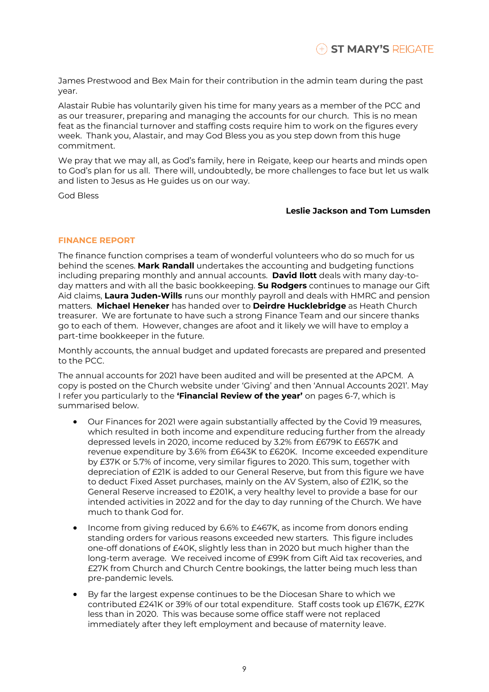James Prestwood and Bex Main for their contribution in the admin team during the past year.

Alastair Rubie has voluntarily given his time for many years as a member of the PCC and as our treasurer, preparing and managing the accounts for our church. This is no mean feat as the financial turnover and staffing costs require him to work on the figures every week. Thank you, Alastair, and may God Bless you as you step down from this huge commitment.

We pray that we may all, as God's family, here in Reigate, keep our hearts and minds open to God's plan for us all. There will, undoubtedly, be more challenges to face but let us walk and listen to Jesus as He guides us on our way.

God Bless

#### **Leslie Jackson and Tom Lumsden**

## **FINANCE REPORT**

The finance function comprises a team of wonderful volunteers who do so much for us behind the scenes. **Mark Randall** undertakes the accounting and budgeting functions including preparing monthly and annual accounts. **David Ilott** deals with many day-today matters and with all the basic bookkeeping. **Su Rodgers** continues to manage our Gift Aid claims, **Laura Juden-Wills** runs our monthly payroll and deals with HMRC and pension matters. **Michael Heneker** has handed over to **Deirdre Hucklebridge** as Heath Church treasurer. We are fortunate to have such a strong Finance Team and our sincere thanks go to each of them. However, changes are afoot and it likely we will have to employ a part-time bookkeeper in the future.

Monthly accounts, the annual budget and updated forecasts are prepared and presented to the PCC.

The annual accounts for 2021 have been audited and will be presented at the APCM. A copy is posted on the Church website under 'Giving' and then 'Annual Accounts 2021'. May I refer you particularly to the **'Financial Review of the year'** on pages 6-7, which is summarised below.

- Our Finances for 2021 were again substantially affected by the Covid 19 measures, which resulted in both income and expenditure reducing further from the already depressed levels in 2020, income reduced by 3.2% from £679K to £657K and revenue expenditure by 3.6% from £643K to £620K. Income exceeded expenditure by £37K or 5.7% of income, very similar figures to 2020. This sum, together with depreciation of £21K is added to our General Reserve, but from this figure we have to deduct Fixed Asset purchases, mainly on the AV System, also of £21K, so the General Reserve increased to £201K, a very healthy level to provide a base for our intended activities in 2022 and for the day to day running of the Church. We have much to thank God for.
- Income from giving reduced by 6.6% to £467K, as income from donors ending standing orders for various reasons exceeded new starters. This figure includes one-off donations of £40K, slightly less than in 2020 but much higher than the long-term average. We received income of £99K from Gift Aid tax recoveries, and £27K from Church and Church Centre bookings, the latter being much less than pre-pandemic levels.
- By far the largest expense continues to be the Diocesan Share to which we contributed £241K or 39% of our total expenditure. Staff costs took up £167K, £27K less than in 2020. This was because some office staff were not replaced immediately after they left employment and because of maternity leave.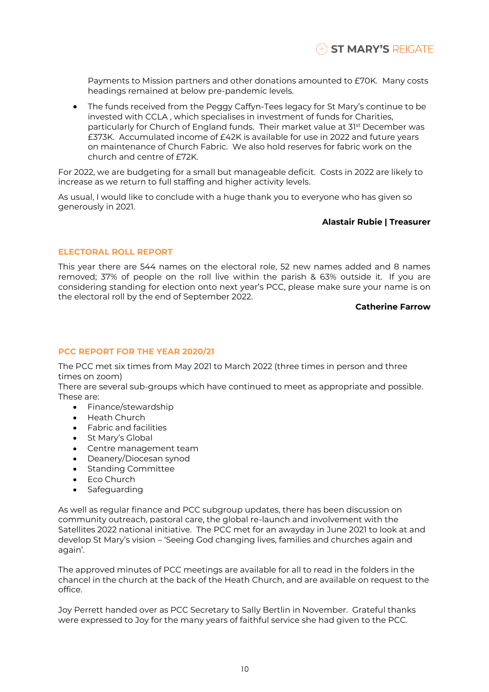Payments to Mission partners and other donations amounted to £70K. Many costs headings remained at below pre-pandemic levels.

• The funds received from the Peggy Caffyn-Tees legacy for St Mary's continue to be invested with CCLA , which specialises in investment of funds for Charities, particularly for Church of England funds. Their market value at 31st December was £373K. Accumulated income of £42K is available for use in 2022 and future years on maintenance of Church Fabric. We also hold reserves for fabric work on the church and centre of £72K.

For 2022, we are budgeting for a small but manageable deficit. Costs in 2022 are likely to increase as we return to full staffing and higher activity levels.

As usual, I would like to conclude with a huge thank you to everyone who has given so generously in 2021.

#### **Alastair Rubie | Treasurer**

## **ELECTORAL ROLL REPORT**

This year there are 544 names on the electoral role, 52 new names added and 8 names removed; 37% of people on the roll live within the parish & 63% outside it. If you are considering standing for election onto next year's PCC, please make sure your name is on the electoral roll by the end of September 2022.

#### **Catherine Farrow**

## **PCC REPORT FOR THE YEAR 2020/21**

The PCC met six times from May 2021 to March 2022 (three times in person and three times on zoom)

There are several sub-groups which have continued to meet as appropriate and possible. These are:

- Finance/stewardship
- Heath Church
- Fabric and facilities
- St Mary's Global
- Centre management team
- Deanery/Diocesan synod
- Standing Committee
- Eco Church
- Safeguarding

As well as regular finance and PCC subgroup updates, there has been discussion on community outreach, pastoral care, the global re-launch and involvement with the Satellites 2022 national initiative. The PCC met for an awayday in June 2021 to look at and develop St Mary's vision – 'Seeing God changing lives, families and churches again and again'.

The approved minutes of PCC meetings are available for all to read in the folders in the chancel in the church at the back of the Heath Church, and are available on request to the office.

Joy Perrett handed over as PCC Secretary to Sally Bertlin in November. Grateful thanks were expressed to Joy for the many years of faithful service she had given to the PCC.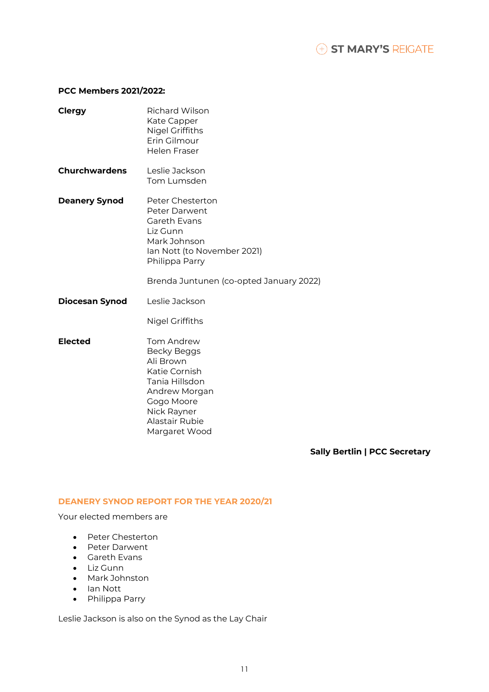# **PCC Members 2021/2022:**

| <b>Clergy</b>         | <b>Richard Wilson</b><br>Kate Capper<br><b>Nigel Griffiths</b><br>Erin Gilmour<br><b>Helen Fraser</b>                                                                     |
|-----------------------|---------------------------------------------------------------------------------------------------------------------------------------------------------------------------|
| <b>Churchwardens</b>  | Leslie Jackson<br>Tom Lumsden                                                                                                                                             |
| <b>Deanery Synod</b>  | Peter Chesterton<br>Peter Darwent<br>Gareth Evans<br>Liz Gunn<br>Mark Johnson<br>Ian Nott (to November 2021)<br>Philippa Parry<br>Brenda Juntunen (co-opted January 2022) |
| <b>Diocesan Synod</b> | Leslie Jackson<br><b>Nigel Griffiths</b>                                                                                                                                  |
| <b>Elected</b>        | Tom Andrew<br><b>Becky Beggs</b><br>Ali Brown<br>Katie Cornish<br>Tania Hillsdon<br>Andrew Morgan<br>Gogo Moore<br>Nick Rayner<br>Alastair Rubie<br>Margaret Wood         |

**Sally Bertlin | PCC Secretary**

# **DEANERY SYNOD REPORT FOR THE YEAR 2020/21**

Your elected members are

- Peter Chesterton
- Peter Darwent
- Gareth Evans
- Liz Gunn
- Mark Johnston
- Ian Nott
- Philippa Parry

Leslie Jackson is also on the Synod as the Lay Chair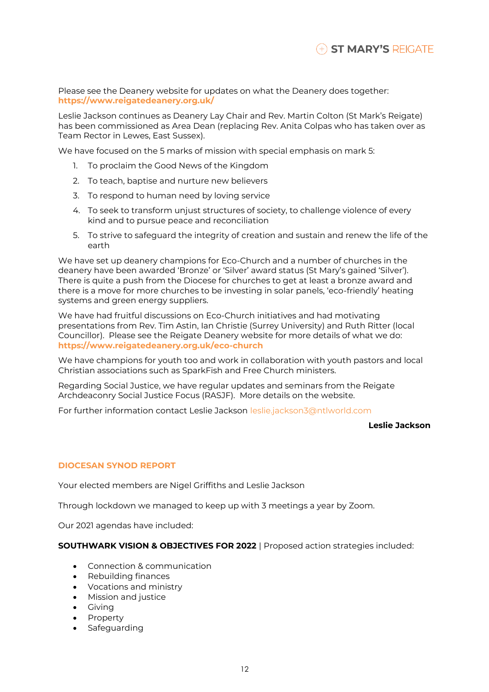Please see the Deanery website for updates on what the Deanery does together: **<https://www.reigatedeanery.org.uk/>**

Leslie Jackson continues as Deanery Lay Chair and Rev. Martin Colton (St Mark's Reigate) has been commissioned as Area Dean (replacing Rev. Anita Colpas who has taken over as Team Rector in Lewes, East Sussex).

We have focused on the 5 marks of mission with special emphasis on mark 5:

- 1. To proclaim the Good News of the Kingdom
- 2. To teach, baptise and nurture new believers
- 3. To respond to human need by loving service
- 4. To seek to transform unjust structures of society, to challenge violence of every kind and to pursue peace and reconciliation
- 5. To strive to safeguard the integrity of creation and sustain and renew the life of the earth

We have set up deanery champions for Eco-Church and a number of churches in the deanery have been awarded 'Bronze' or 'Silver' award status (St Mary's gained 'Silver'). There is quite a push from the Diocese for churches to get at least a bronze award and there is a move for more churches to be investing in solar panels, 'eco-friendly' heating systems and green energy suppliers.

We have had fruitful discussions on Eco-Church initiatives and had motivating presentations from Rev. Tim Astin, Ian Christie (Surrey University) and Ruth Ritter (local Councillor). Please see the Reigate Deanery website for more details of what we do: **<https://www.reigatedeanery.org.uk/eco-church>**

We have champions for youth too and work in collaboration with youth pastors and local Christian associations such as SparkFish and Free Church ministers.

Regarding Social Justice, we have regular updates and seminars from the Reigate Archdeaconry Social Justice Focus (RASJF). More details on the website.

For further information contact Leslie Jackson [leslie.jackson3@ntlworld.com](mailto:leslie.jackson3@ntlworld.com)

#### **Leslie Jackson**

# **DIOCESAN SYNOD REPORT**

Your elected members are Nigel Griffiths and Leslie Jackson

Through lockdown we managed to keep up with 3 meetings a year by Zoom.

Our 2021 agendas have included:

#### **SOUTHWARK VISION & OBJECTIVES FOR 2022** | Proposed action strategies included:

- Connection & communication
- Rebuilding finances
- Vocations and ministry
- Mission and justice
- Giving
- Property
- Safeguarding